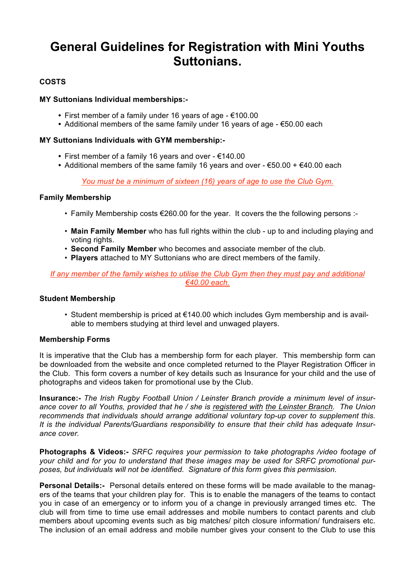# **General Guidelines for Registration with Mini Youths Suttonians.**

# **COSTS**

### **MY Suttonians Individual memberships:-**

- **•** First member of a family under 16 years of age €100.00
- **•** Additional members of the same family under 16 years of age €50.00 each

### **MY Suttonians Individuals with GYM membership:-**

- **•** First member of a family 16 years and over €140.00
- **•** Additional members of the same family 16 years and over €50.00 + €40.00 each

*You must be a minimum of sixteen (16) years of age to use the Club Gym.*

#### **Family Membership**

- Family Membership costs  $\epsilon$ 260.00 for the year. It covers the the following persons :-
- **Main Family Member** who has full rights within the club up to and including playing and voting rights.
- **Second Family Member** who becomes and associate member of the club.
- **Players** attached to MY Suttonians who are direct members of the family.

#### *If any member of the family wishes to utilise the Club Gym then they must pay and additional €40.00 each.*

#### **Student Membership**

• Student membership is priced at €140.00 which includes Gym membership and is available to members studying at third level and unwaged players.

# **Membership Forms**

It is imperative that the Club has a membership form for each player. This membership form can be downloaded from the website and once completed returned to the Player Registration Officer in the Club. This form covers a number of key details such as Insurance for your child and the use of photographs and videos taken for promotional use by the Club.

**Insurance:-** *The Irish Rugby Football Union / Leinster Branch provide a minimum level of insurance cover to all Youths, provided that he / she is registered with the Leinster Branch. The Union recommends that individuals should arrange additional voluntary top-up cover to supplement this. It is the individual Parents/Guardians responsibility to ensure that their child has adequate Insurance cover.*

**Photographs & Videos:-** *SRFC requires your permission to take photographs /video footage of your child and for you to understand that these images may be used for SRFC promotional purposes, but individuals will not be identified. Signature of this form gives this permission.*

**Personal Details:-** Personal details entered on these forms will be made available to the managers of the teams that your children play for. This is to enable the managers of the teams to contact you in case of an emergency or to inform you of a change in previously arranged times etc. The club will from time to time use email addresses and mobile numbers to contact parents and club members about upcoming events such as big matches/ pitch closure information/ fundraisers etc. The inclusion of an email address and mobile number gives your consent to the Club to use this